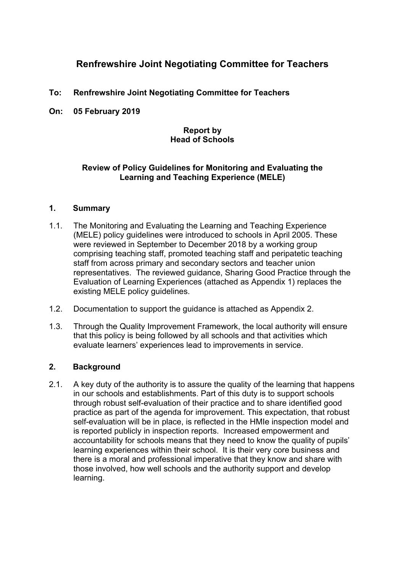# **Renfrewshire Joint Negotiating Committee for Teachers**

- **To: Renfrewshire Joint Negotiating Committee for Teachers**
- **On: 05 February 2019**

### **Report by Head of Schools**

### **Review of Policy Guidelines for Monitoring and Evaluating the Learning and Teaching Experience (MELE)**

#### **1. Summary**

- 1.1. The Monitoring and Evaluating the Learning and Teaching Experience (MELE) policy guidelines were introduced to schools in April 2005. These were reviewed in September to December 2018 by a working group comprising teaching staff, promoted teaching staff and peripatetic teaching staff from across primary and secondary sectors and teacher union representatives. The reviewed guidance, Sharing Good Practice through the Evaluation of Learning Experiences (attached as Appendix 1) replaces the existing MELE policy guidelines.
- 1.2. Documentation to support the guidance is attached as Appendix 2.
- 1.3. Through the Quality Improvement Framework, the local authority will ensure that this policy is being followed by all schools and that activities which evaluate learners' experiences lead to improvements in service.

### **2. Background**

2.1. A key duty of the authority is to assure the quality of the learning that happens in our schools and establishments. Part of this duty is to support schools through robust self-evaluation of their practice and to share identified good practice as part of the agenda for improvement. This expectation, that robust self-evaluation will be in place, is reflected in the HMIe inspection model and is reported publicly in inspection reports. Increased empowerment and accountability for schools means that they need to know the quality of pupils' learning experiences within their school. It is their very core business and there is a moral and professional imperative that they know and share with those involved, how well schools and the authority support and develop learning.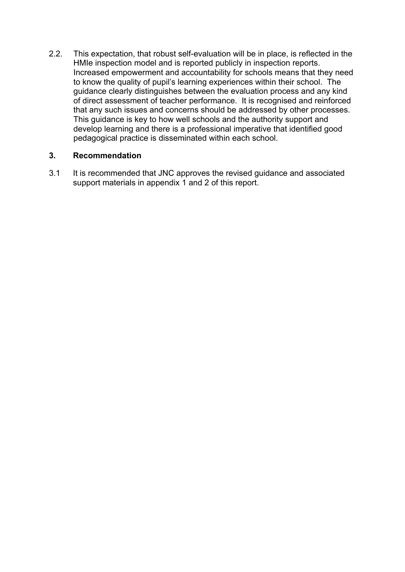2.2. This expectation, that robust self-evaluation will be in place, is reflected in the HMIe inspection model and is reported publicly in inspection reports. Increased empowerment and accountability for schools means that they need to know the quality of pupil's learning experiences within their school. The guidance clearly distinguishes between the evaluation process and any kind of direct assessment of teacher performance. It is recognised and reinforced that any such issues and concerns should be addressed by other processes. This guidance is key to how well schools and the authority support and develop learning and there is a professional imperative that identified good pedagogical practice is disseminated within each school.

## **3. Recommendation**

3.1 It is recommended that JNC approves the revised guidance and associated support materials in appendix 1 and 2 of this report.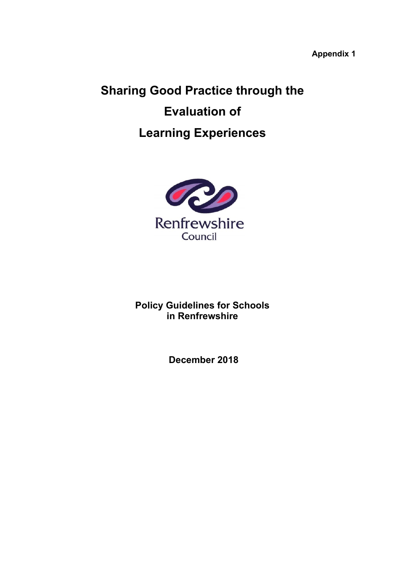**Appendix 1** 

# **Sharing Good Practice through the Evaluation of Learning Experiences**



**Policy Guidelines for Schools in Renfrewshire** 

 **December 2018**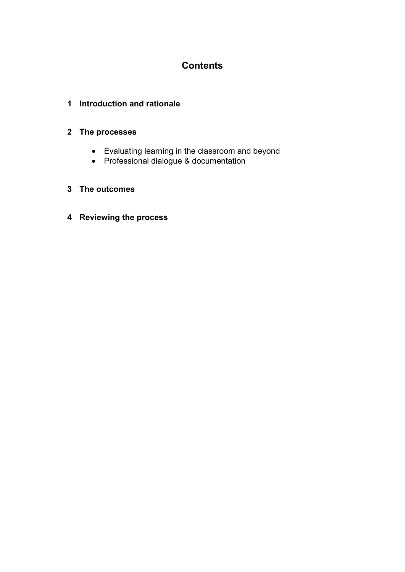# **Contents**

## **1 Introduction and rationale**

## **2 The processes**

- Evaluating learning in the classroom and beyond
- Professional dialogue & documentation

## **3 The outcomes**

**4 Reviewing the process**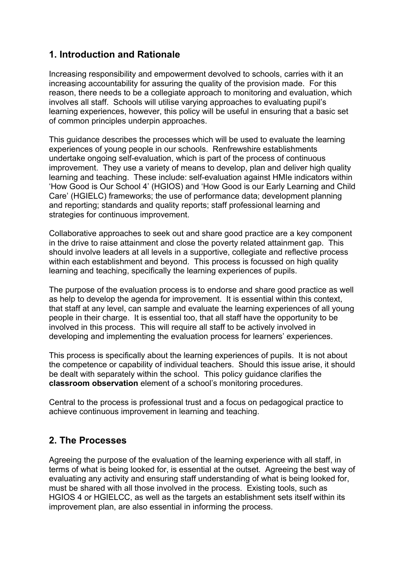# **1. Introduction and Rationale**

Increasing responsibility and empowerment devolved to schools, carries with it an increasing accountability for assuring the quality of the provision made. For this reason, there needs to be a collegiate approach to monitoring and evaluation, which involves all staff. Schools will utilise varying approaches to evaluating pupil's learning experiences, however, this policy will be useful in ensuring that a basic set of common principles underpin approaches.

This guidance describes the processes which will be used to evaluate the learning experiences of young people in our schools. Renfrewshire establishments undertake ongoing self-evaluation, which is part of the process of continuous improvement. They use a variety of means to develop, plan and deliver high quality learning and teaching. These include: self-evaluation against HMIe indicators within 'How Good is Our School 4' (HGIOS) and 'How Good is our Early Learning and Child Care' (HGIELC) frameworks; the use of performance data; development planning and reporting; standards and quality reports; staff professional learning and strategies for continuous improvement.

Collaborative approaches to seek out and share good practice are a key component in the drive to raise attainment and close the poverty related attainment gap. This should involve leaders at all levels in a supportive, collegiate and reflective process within each establishment and beyond. This process is focussed on high quality learning and teaching, specifically the learning experiences of pupils.

The purpose of the evaluation process is to endorse and share good practice as well as help to develop the agenda for improvement. It is essential within this context, that staff at any level, can sample and evaluate the learning experiences of all young people in their charge. It is essential too, that all staff have the opportunity to be involved in this process. This will require all staff to be actively involved in developing and implementing the evaluation process for learners' experiences.

This process is specifically about the learning experiences of pupils. It is not about the competence or capability of individual teachers. Should this issue arise, it should be dealt with separately within the school. This policy guidance clarifies the **classroom observation** element of a school's monitoring procedures.

Central to the process is professional trust and a focus on pedagogical practice to achieve continuous improvement in learning and teaching.

## **2. The Processes**

Agreeing the purpose of the evaluation of the learning experience with all staff, in terms of what is being looked for, is essential at the outset. Agreeing the best way of evaluating any activity and ensuring staff understanding of what is being looked for, must be shared with all those involved in the process. Existing tools, such as HGIOS 4 or HGIELCC, as well as the targets an establishment sets itself within its improvement plan, are also essential in informing the process.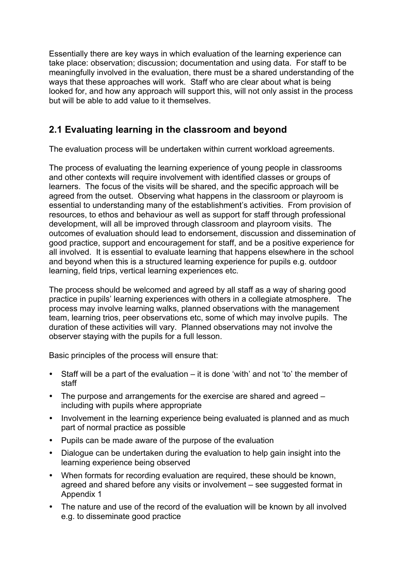Essentially there are key ways in which evaluation of the learning experience can take place: observation; discussion; documentation and using data. For staff to be meaningfully involved in the evaluation, there must be a shared understanding of the ways that these approaches will work. Staff who are clear about what is being looked for, and how any approach will support this, will not only assist in the process but will be able to add value to it themselves.

# **2.1 Evaluating learning in the classroom and beyond**

The evaluation process will be undertaken within current workload agreements.

The process of evaluating the learning experience of young people in classrooms and other contexts will require involvement with identified classes or groups of learners. The focus of the visits will be shared, and the specific approach will be agreed from the outset. Observing what happens in the classroom or playroom is essential to understanding many of the establishment's activities. From provision of resources, to ethos and behaviour as well as support for staff through professional development, will all be improved through classroom and playroom visits. The outcomes of evaluation should lead to endorsement, discussion and dissemination of good practice, support and encouragement for staff, and be a positive experience for all involved. It is essential to evaluate learning that happens elsewhere in the school and beyond when this is a structured learning experience for pupils e.g. outdoor learning, field trips, vertical learning experiences etc.

The process should be welcomed and agreed by all staff as a way of sharing good practice in pupils' learning experiences with others in a collegiate atmosphere. The process may involve learning walks, planned observations with the management team, learning trios, peer observations etc, some of which may involve pupils. The duration of these activities will vary. Planned observations may not involve the observer staying with the pupils for a full lesson.

Basic principles of the process will ensure that:

- Staff will be a part of the evaluation it is done 'with' and not 'to' the member of staff
- The purpose and arrangements for the exercise are shared and agreed including with pupils where appropriate
- Involvement in the learning experience being evaluated is planned and as much part of normal practice as possible
- Pupils can be made aware of the purpose of the evaluation
- Dialogue can be undertaken during the evaluation to help gain insight into the learning experience being observed
- When formats for recording evaluation are required, these should be known, agreed and shared before any visits or involvement – see suggested format in Appendix 1
- The nature and use of the record of the evaluation will be known by all involved e.g. to disseminate good practice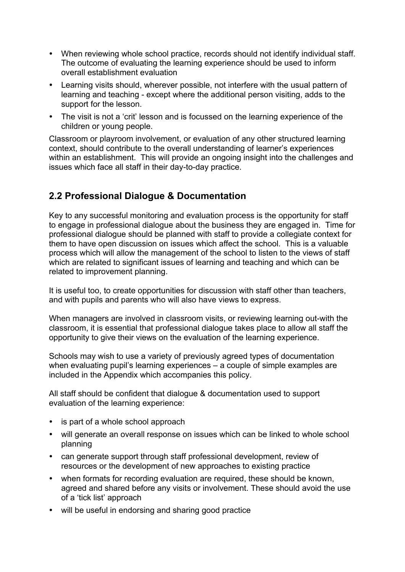- When reviewing whole school practice, records should not identify individual staff. The outcome of evaluating the learning experience should be used to inform overall establishment evaluation
- Learning visits should, wherever possible, not interfere with the usual pattern of learning and teaching - except where the additional person visiting, adds to the support for the lesson.
- The visit is not a 'crit' lesson and is focussed on the learning experience of the children or young people.

Classroom or playroom involvement, or evaluation of any other structured learning context, should contribute to the overall understanding of learner's experiences within an establishment. This will provide an ongoing insight into the challenges and issues which face all staff in their day-to-day practice.

# **2.2 Professional Dialogue & Documentation**

Key to any successful monitoring and evaluation process is the opportunity for staff to engage in professional dialogue about the business they are engaged in. Time for professional dialogue should be planned with staff to provide a collegiate context for them to have open discussion on issues which affect the school. This is a valuable process which will allow the management of the school to listen to the views of staff which are related to significant issues of learning and teaching and which can be related to improvement planning.

It is useful too, to create opportunities for discussion with staff other than teachers, and with pupils and parents who will also have views to express.

When managers are involved in classroom visits, or reviewing learning out-with the classroom, it is essential that professional dialogue takes place to allow all staff the opportunity to give their views on the evaluation of the learning experience.

Schools may wish to use a variety of previously agreed types of documentation when evaluating pupil's learning experiences – a couple of simple examples are included in the Appendix which accompanies this policy.

All staff should be confident that dialogue & documentation used to support evaluation of the learning experience:

- is part of a whole school approach
- will generate an overall response on issues which can be linked to whole school planning
- can generate support through staff professional development, review of resources or the development of new approaches to existing practice
- when formats for recording evaluation are required, these should be known, agreed and shared before any visits or involvement. These should avoid the use of a 'tick list' approach
- will be useful in endorsing and sharing good practice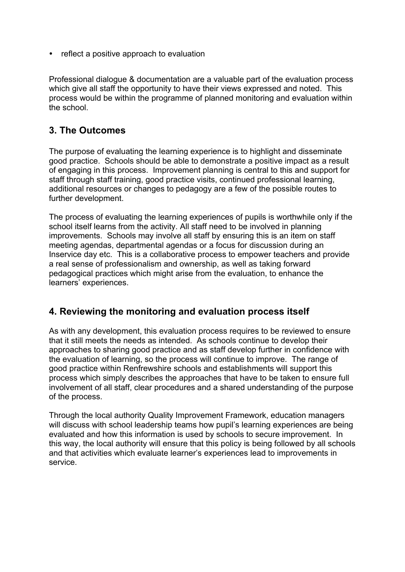• reflect a positive approach to evaluation

Professional dialogue & documentation are a valuable part of the evaluation process which give all staff the opportunity to have their views expressed and noted. This process would be within the programme of planned monitoring and evaluation within the school.

## **3. The Outcomes**

The purpose of evaluating the learning experience is to highlight and disseminate good practice. Schools should be able to demonstrate a positive impact as a result of engaging in this process. Improvement planning is central to this and support for staff through staff training, good practice visits, continued professional learning, additional resources or changes to pedagogy are a few of the possible routes to further development.

The process of evaluating the learning experiences of pupils is worthwhile only if the school itself learns from the activity. All staff need to be involved in planning improvements. Schools may involve all staff by ensuring this is an item on staff meeting agendas, departmental agendas or a focus for discussion during an Inservice day etc. This is a collaborative process to empower teachers and provide a real sense of professionalism and ownership, as well as taking forward pedagogical practices which might arise from the evaluation, to enhance the learners' experiences.

## **4. Reviewing the monitoring and evaluation process itself**

As with any development, this evaluation process requires to be reviewed to ensure that it still meets the needs as intended. As schools continue to develop their approaches to sharing good practice and as staff develop further in confidence with the evaluation of learning, so the process will continue to improve. The range of good practice within Renfrewshire schools and establishments will support this process which simply describes the approaches that have to be taken to ensure full involvement of all staff, clear procedures and a shared understanding of the purpose of the process.

Through the local authority Quality Improvement Framework, education managers will discuss with school leadership teams how pupil's learning experiences are being evaluated and how this information is used by schools to secure improvement. In this way, the local authority will ensure that this policy is being followed by all schools and that activities which evaluate learner's experiences lead to improvements in service.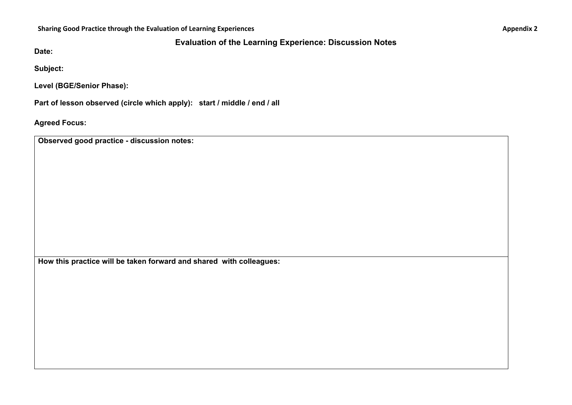Sharing Good Practice through the Evaluation of Learning Experiences **Example 2** Appendix 2

## **Evaluation of the Learning Experience: Discussion Notes**

**Date:** 

**Subject:** 

**Level (BGE/Senior Phase):** 

**Part of lesson observed (circle which apply): start / middle / end / all** 

**Agreed Focus:** 

**Observed good practice - discussion notes:** 

**How this practice will be taken forward and shared with colleagues:**